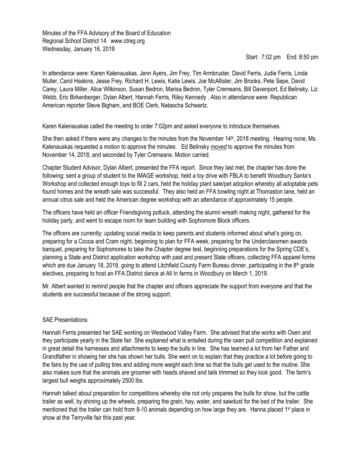Minutes of the FFA Advisory of the Board of Education Regional School District 14 www.ctreg.org Wednesday, January 16, 2019

Start: 7:02 pm End: 8:50 pm

In attendance were: Karen Kalenauskas, Jenn Ayers, Jim Frey, Tim Armbruster, David Ferris, Judie Ferris, Linda Muller, Carol Haskins, Jesse Frey, Richard H. Lewis, Katie Lewis, Joe McAllister, Jim Brooks, Pete Sepe, David Carey, Laura Miller, Alice Wilkinson, Susan Bedron, Marisa Bedron, Tyler Cremeans, Bill Davenport, Ed Belinsky, Liz Webb, Eric Birkenberger, Dylan Albert, Hannah Ferris, Riley Kennedy . Also in attendance were: Republican American reporter Steve Bigham, and BOE Clerk, Natascha Schwartz.

Karen Kalenauskas called the meeting to order 7:02pm and asked everyone to introduce themselves.

She then asked if there were any changes to the minutes from the November 14<sup>th</sup>, 2018 meeting. Hearing none, Ms. Kalenauskas requested a motion to approve the minutes. Ed Belinsky *moved* to approve the minutes from November 14, 2018, and seconded by Tyler Cremeans. Motion carried.

Chapter Student Advisor, Dylan Albert, presented the FFA report. Since they last met, the chapter has done the following: sent a group of student to the IMAGE workshop, held a toy drive with FBLA to benefit Woodbury Santa's Workshop and collected enough toys to fill 2 cars, held the holiday plant sale/pet adoption whereby all adoptable pets found homes and the wreath sale was successful. They also held an FFA bowling night at Thomaston lane, held an annual citrus sale and held the American degree workshop with an attendance of approximately 15 people.

The officers have held an officer Friendsgiving potluck, attending the alumni wreath making night, gathered for the holiday party, and went to escape room for team building with Sophomore Block officers.

The officers are currently: updating social media to keep parents and students informed about what's going on, preparing for a Cocoa and Cram night, beginning to plan for FFA week, preparing for the Underclassmen awards banquet, preparing for Sophomores to take the Chapter degree test, beginning preparations for the Spring CDE's, planning a State and District application workshop with past and present State officers, collecting FFA apparel forms which are due January 18, 2019, going to attend Litchfield County Farm Bureau dinner, participating in the  $8<sup>th</sup>$  grade electives, preparing to host an FFA District dance at All In farms in Woodbury on March 1, 2019.

Mr. Albert wanted to remind people that the chapter and officers appreciate the support from everyone and that the students are successful because of the strong support.

## SAE Presentations:

Hannah Ferris presented her SAE working on Westwood Valley Farm. She advised that she works with Oxen and they participate yearly in the State fair. She explained what is entailed during the oxen pull competition and explained in great detail the harnesses and attachments to keep the bulls in line. She has learned a lot from her Father and Grandfather in showing her she has shown her bulls. She went on to explain that they practice a lot before going to the fairs by the use of pulling tires and adding more weight each time so that the bulls get used to the routine. She also makes sure that the animals are groomer with heads shaved and tails trimmed so they look good. The farm's largest bull weighs approximately 2500 lbs.

Hannah talked about preparation for competitions whereby she not only prepares the bulls for show, but the cattle trailer as well, by shining up the wheels, preparing the grain, hay, water, and sawdust for the bed of the trailer. She mentioned that the trailer can hold from 8-10 animals depending on how large they are. Hanna placed 1<sup>st</sup> place in show at the Terryville fair this past year.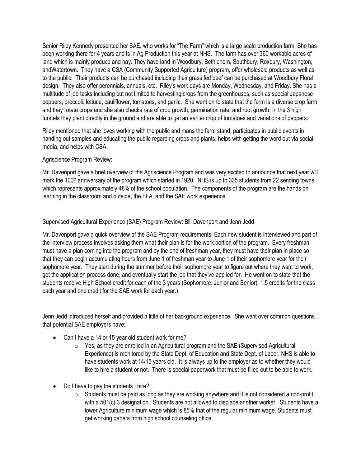Senior Riley Kennedy presented her SAE, who works for "The Farm" which is a large scale production farm. She has been working there for 4 years and is in Ag Production this year at NHS. The farm has over 360 workable acres of land which is mainly produce and hay. They have land in Woodbury, Bethlehem, Southbury, Roxbury, Washington, andWatertown. They have a CSA (Community Supported Agriculture) program, offer wholesale products as well as to the public. Their products can be purchased including their grass fed beef can be purchased at Woodbury Floral design. They also offer perennials, annuals, etc. Riley's work days are Monday, Wednesday, and Friday. She has a multitude of job tasks including but not limited to harvesting crops from the greenhouses, such as special Japanese peppers, broccoli, lettuce, cauliflower, tomatoes, and garlic. She went on to state that the farm is a diverse crop farm and they rotate crops and she also checks rate of crop growth, germination rate, and root growth. In the 3 high tunnels they plant directly in the ground and are able to get an earlier crop of tomatoes and variations of peppers.

Riley mentioned that she loves working with the public and mans the farm stand, participates in public events in handing out samples and educating the public regarding crops and plants, helps with getting the word out via social media, and helps with CSA.

## Agriscience Program Review:

Mr. Davenport gave a brief overview of the Agriscience Program and was very excited to announce that next year will mark the 100<sup>th</sup> anniversary of the program which started in 1920. NHS is up to 335 students from 22 sending towns which represents approximately 48% of the school population. The components of the program are the hands on learning in the classroom and outside, the FFA, and the SAE work experience.

## Supervised Agricultural Experience (SAE) Program Review: Bill Davenport and Jenn Jedd

Mr. Davenport gave a quick overview of the SAE Program requirements. Each new student is interviewed and part of the interview process involves asking them what their plan is for the work portion of the program. Every freshman must have a plan coming into the program and by the end of freshman year, they must have their plan in place so that they can begin accumulating hours from June 1 of freshman year to June 1 of their sophomore year for their sophomore year. They start during the summer before their sophomore year to figure out where they want to work, get the application process done, and eventually start the job that they've applied for. He went on to state that the students receive High School credit for each of the 3 years (Sophomore, Junior and Senior); 1.5 credits for the class each year and one credit for the SAE work for each year.)

Jenn Jedd introduced herself and provided a little of her background experience. She went over common questions that potential SAE employers have:

- Can I have a 14 or 15 year old student work for me?
	- $\circ$  Yes, as they are enrolled in an Agricultural program and the SAE (Supervised Agricultural Experience) is monitored by the State Dept. of Education and State Dept. of Labor, NHS is able to have students work at 14/15 years old. It is always up to the employer as to whether they would like to hire a student or not. There is special paperwork that must be filled out to be able to work.
- Do I have to pay the students I hire?
	- $\circ$  Students must be paid as long as they are working anywhere and it is not considered a non-profit with a 501(c) 3 designation. Students are not allowed to displace another worker. Students have a lower Agriculture minimum wage which is 85% that of the regular minimum wage. Students must get working papers from high school counseling office.